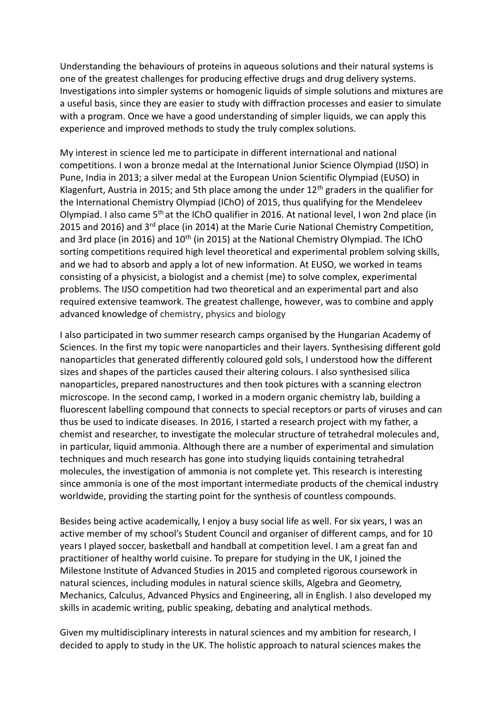Understanding the behaviours of proteins in aqueous solutions and their natural systems is one of the greatest challenges for producing effective drugs and drug delivery systems. Investigations into simpler systems or homogenic liquids of simple solutions and mixtures are a useful basis, since they are easier to study with diffraction processes and easier to simulate with a program. Once we have a good understanding of simpler liquids, we can apply this experience and improved methods to study the truly complex solutions.

My interest in science led me to participate in different international and national competitions. I won a bronze medal at the International Junior Science Olympiad (IJSO) in Pune, India in 2013; a silver medal at the European Union Scientific Olympiad (EUSO) in Klagenfurt, Austria in 2015; and 5th place among the under  $12<sup>th</sup>$  graders in the qualifier for the International Chemistry Olympiad (IChO) of 2015, thus qualifying for the Mendeleev Olympiad. I also came 5<sup>th</sup> at the IChO qualifier in 2016. At national level, I won 2nd place (in 2015 and 2016) and 3<sup>rd</sup> place (in 2014) at the Marie Curie National Chemistry Competition, and 3rd place (in 2016) and  $10<sup>th</sup>$  (in 2015) at the National Chemistry Olympiad. The IChO sorting competitions required high level theoretical and experimental problem solving skills, and we had to absorb and apply a lot of new information. At EUSO, we worked in teams consisting of a physicist, a biologist and a chemist (me) to solve complex, experimental problems. The IJSO competition had two theoretical and an experimental part and also required extensive teamwork. The greatest challenge, however, was to combine and apply advanced knowledge of chemistry, physics and biology

I also participated in two summer research camps organised by the Hungarian Academy of Sciences. In the first my topic were nanoparticles and their layers. Synthesising different gold nanoparticles that generated differently coloured gold sols, I understood how the different sizes and shapes of the particles caused their altering colours. I also synthesised silica nanoparticles, prepared nanostructures and then took pictures with a scanning electron microscope. In the second camp, I worked in a modern organic chemistry lab, building a fluorescent labelling compound that connects to special receptors or parts of viruses and can thus be used to indicate diseases. In 2016, I started a research project with my father, a chemist and researcher, to investigate the molecular structure of tetrahedral molecules and, in particular, liquid ammonia. Although there are a number of experimental and simulation techniques and much research has gone into studying liquids containing tetrahedral molecules, the investigation of ammonia is not complete yet. This research is interesting since ammonia is one of the most important intermediate products of the chemical industry worldwide, providing the starting point for the synthesis of countless compounds.

Besides being active academically, I enjoy a busy social life as well. For six years, I was an active member of my school's Student Council and organiser of different camps, and for 10 years I played soccer, basketball and handball at competition level. I am a great fan and practitioner of healthy world cuisine. To prepare for studying in the UK, I joined the Milestone Institute of Advanced Studies in 2015 and completed rigorous coursework in natural sciences, including modules in natural science skills, Algebra and Geometry, Mechanics, Calculus, Advanced Physics and Engineering, all in English. I also developed my skills in academic writing, public speaking, debating and analytical methods.

Given my multidisciplinary interests in natural sciences and my ambition for research, I decided to apply to study in the UK. The holistic approach to natural sciences makes the